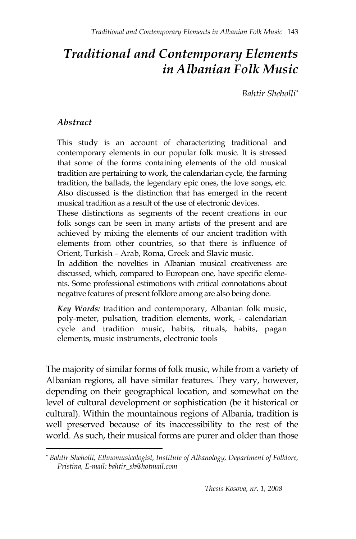# *Traditional and Contemporary Elements in Albanian Folk Music*

*Bahtir Sheholli[\\*](#page-0-0)*

## *Abstract*

**.** 

This study is an account of characterizing traditional and contemporary elements in our popular folk music. It is stressed that some of the forms containing elements of the old musical tradition are pertaining to work, the calendarian cycle, the farming tradition, the ballads, the legendary epic ones, the love songs, etc. Also discussed is the distinction that has emerged in the recent musical tradition as a result of the use of electronic devices.

These distinctions as segments of the recent creations in our folk songs can be seen in many artists of the present and are achieved by mixing the elements of our ancient tradition with elements from other countries, so that there is influence of Orient, Turkish – Arab, Roma, Greek and Slavic music.

In addition the novelties in Albanian musical creativeness are discussed, which, compared to European one, have specific elements. Some professional estimotions with critical connotations about negative features of present folklore among are also being done.

*Key Words:* tradition and contemporary, Albanian folk music, poly-meter, pulsation, tradition elements, work, - calendarian cycle and tradition music, habits, rituals, habits, pagan elements, music instruments, electronic tools

The majority of similar forms of folk music, while from a variety of Albanian regions, all have similar features. They vary, however, depending on their geographical location, and somewhat on the level of cultural development or sophistication (be it historical or cultural). Within the mountainous regions of Albania, tradition is well preserved because of its inaccessibility to the rest of the world. As such, their musical forms are purer and older than those

<span id="page-0-0"></span><sup>\*</sup> *Bahtir Sheholli, Ethnomusicologist, Institute of Albanology, Department of Folklore, Pristina, E-mail: bahtir\_sh@hotmail.com*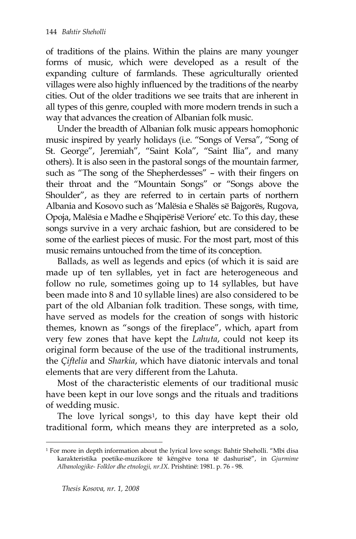of traditions of the plains. Within the plains are many younger forms of music, which were developed as a result of the expanding culture of farmlands. These agriculturally oriented villages were also highly influenced by the traditions of the nearby cities. Out of the older traditions we see traits that are inherent in all types of this genre, coupled with more modern trends in such a way that advances the creation of Albanian folk music.

Under the breadth of Albanian folk music appears homophonic music inspired by yearly holidays (i.e. "Songs of Versa", "Song of St. George", Jeremiah", "Saint Kola", "Saint Ilia", and many others). It is also seen in the pastoral songs of the mountain farmer, such as "The song of the Shepherdesses" – with their fingers on their throat and the "Mountain Songs" or "Songs above the Shoulder", as they are referred to in certain parts of northern Albania and Kosovo such as 'Malësia e Shalës së Bajgorës, Rugova, Opoja, Malësia e Madhe e Shqipërisë Veriore' etc. To this day, these songs survive in a very archaic fashion, but are considered to be some of the earliest pieces of music. For the most part, most of this music remains untouched from the time of its conception.

Ballads, as well as legends and epics (of which it is said are made up of ten syllables, yet in fact are heterogeneous and follow no rule, sometimes going up to 14 syllables, but have been made into 8 and 10 syllable lines) are also considered to be part of the old Albanian folk tradition. These songs, with time, have served as models for the creation of songs with historic themes, known as "songs of the fireplace", which, apart from very few zones that have kept the *Lahuta*, could not keep its original form because of the use of the traditional instruments, the *Çiftelia* and *Sharkia*, which have diatonic intervals and tonal elements that are very different from the Lahuta.

Most of the characteristic elements of our traditional music have been kept in our love songs and the rituals and traditions of wedding music.

The love lyrical songs<sup>[1](#page-1-0)</sup>, to this day have kept their old traditional form, which means they are interpreted as a solo,

**.** 

<span id="page-1-0"></span><sup>1</sup> For more in depth information about the lyrical love songs: Bahtir Sheholli. "Mbi disa karakteristika poetike-muzikore të këngëve tona të dashurisë", in *Gjurmime Albanologjike- Folklor dhe etnologji, nr.IX*. Prishtinë: 1981. p. 76 - 98.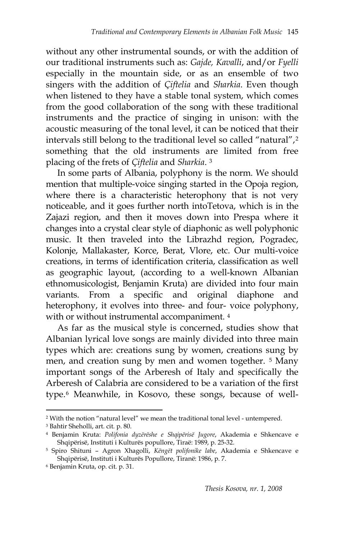without any other instrumental sounds, or with the addition of our traditional instruments such as: *Gajde, Kavalli*, and/or *Fyelli* especially in the mountain side, or as an ensemble of two singers with the addition of *Çiftelia* and *Sharkia*. Even though when listened to they have a stable tonal system, which comes from the good collaboration of the song with these traditional instruments and the practice of singing in unison: with the acoustic measuring of the tonal level, it can be noticed that their intervals still belong to the traditional level so called "natural",[2](#page-2-0) something that the old instruments are limited from free placing of the frets of *Çiftelia* and *Sharkia*. [3](#page-2-0)

In some parts of Albania, polyphony is the norm. We should mention that multiple-voice singing started in the Opoja region, where there is a characteristic heterophony that is not very noticeable, and it goes further north intoTetova, which is in the Zajazi region, and then it moves down into Prespa where it changes into a crystal clear style of diaphonic as well polyphonic music. It then traveled into the Librazhd region, Pogradec, Kolonje, Mallakaster, Korce, Berat, Vlore, etc. Our multi-voice creations, in terms of identification criteria, classification as well as geographic layout, (according to a well-known Albanian ethnomusicologist, Benjamin Kruta) are divided into four main variants. From a specific and original diaphone and heterophony, it evolves into three- and four- voice polyphony, with or without instrumental accompaniment.<sup>[4](#page-2-0)</sup>

As far as the musical style is concerned, studies show that Albanian lyrical love songs are mainly divided into three main types which are: creations sung by women, creations sung by men, and creation sung by men and women together. [5](#page-2-0) Many important songs of the Arberesh of Italy and specifically the Arberesh of Calabria are considered to be a variation of the first type.[6](#page-2-0) Meanwhile, in Kosovo, these songs, because of well-

**.** 

<span id="page-2-0"></span><sup>2</sup> With the notion "natural level" we mean the traditional tonal level - untempered.

<sup>3</sup> Bahtir Sheholli, art. cit. p. 80.

<sup>4</sup> Benjamin Kruta: *Polifonia dyzërëshe e Shqipërisë Jugore*, Akademia e Shkencave e Shqipërisë, Instituti i Kulturës popullore, Tiraë: 1989, p. 25-32.

<sup>5</sup> Spiro Shituni – Agron Xhagolli, *Këngët polifonike labe*, Akademia e Shkencave e Shqipërisë, Instituti i Kulturës Popullore, Tiranë: 1986, p. 7.

<sup>6</sup> Benjamin Kruta, op. cit. p. 31.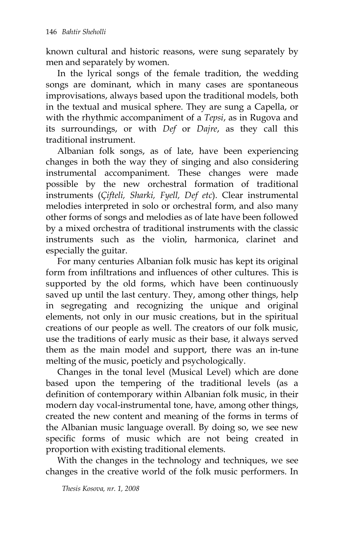known cultural and historic reasons, were sung separately by men and separately by women.

In the lyrical songs of the female tradition, the wedding songs are dominant, which in many cases are spontaneous improvisations, always based upon the traditional models, both in the textual and musical sphere. They are sung a Capella, or with the rhythmic accompaniment of a *Tepsi*, as in Rugova and its surroundings, or with *Def* or *Dajre*, as they call this traditional instrument.

Albanian folk songs, as of late, have been experiencing changes in both the way they of singing and also considering instrumental accompaniment. These changes were made possible by the new orchestral formation of traditional instruments (*Çifteli, Sharki, Fyell, Def etc*). Clear instrumental melodies interpreted in solo or orchestral form, and also many other forms of songs and melodies as of late have been followed by a mixed orchestra of traditional instruments with the classic instruments such as the violin, harmonica, clarinet and especially the guitar.

For many centuries Albanian folk music has kept its original form from infiltrations and influences of other cultures. This is supported by the old forms, which have been continuously saved up until the last century. They, among other things, help in segregating and recognizing the unique and original elements, not only in our music creations, but in the spiritual creations of our people as well. The creators of our folk music, use the traditions of early music as their base, it always served them as the main model and support, there was an in-tune melting of the music, poeticly and psychologically.

Changes in the tonal level (Musical Level) which are done based upon the tempering of the traditional levels (as a definition of contemporary within Albanian folk music, in their modern day vocal-instrumental tone, have, among other things, created the new content and meaning of the forms in terms of the Albanian music language overall. By doing so, we see new specific forms of music which are not being created in proportion with existing traditional elements.

With the changes in the technology and techniques, we see changes in the creative world of the folk music performers. In

*Thesis Kosova, nr. 1, 2008*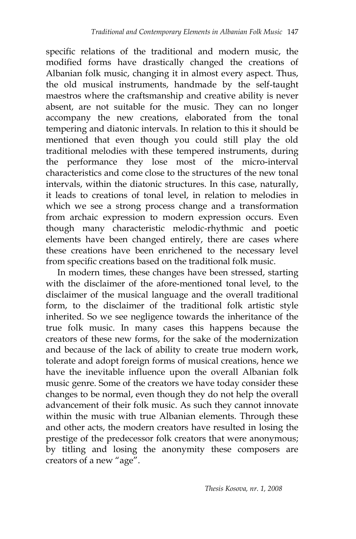specific relations of the traditional and modern music, the modified forms have drastically changed the creations of Albanian folk music, changing it in almost every aspect. Thus, the old musical instruments, handmade by the self-taught maestros where the craftsmanship and creative ability is never absent, are not suitable for the music. They can no longer accompany the new creations, elaborated from the tonal tempering and diatonic intervals. In relation to this it should be mentioned that even though you could still play the old traditional melodies with these tempered instruments, during the performance they lose most of the micro-interval characteristics and come close to the structures of the new tonal intervals, within the diatonic structures. In this case, naturally, it leads to creations of tonal level, in relation to melodies in which we see a strong process change and a transformation from archaic expression to modern expression occurs. Even though many characteristic melodic-rhythmic and poetic elements have been changed entirely, there are cases where these creations have been enrichened to the necessary level from specific creations based on the traditional folk music.

In modern times, these changes have been stressed, starting with the disclaimer of the afore-mentioned tonal level, to the disclaimer of the musical language and the overall traditional form, to the disclaimer of the traditional folk artistic style inherited. So we see negligence towards the inheritance of the true folk music. In many cases this happens because the creators of these new forms, for the sake of the modernization and because of the lack of ability to create true modern work, tolerate and adopt foreign forms of musical creations, hence we have the inevitable influence upon the overall Albanian folk music genre. Some of the creators we have today consider these changes to be normal, even though they do not help the overall advancement of their folk music. As such they cannot innovate within the music with true Albanian elements. Through these and other acts, the modern creators have resulted in losing the prestige of the predecessor folk creators that were anonymous; by titling and losing the anonymity these composers are creators of a new "age".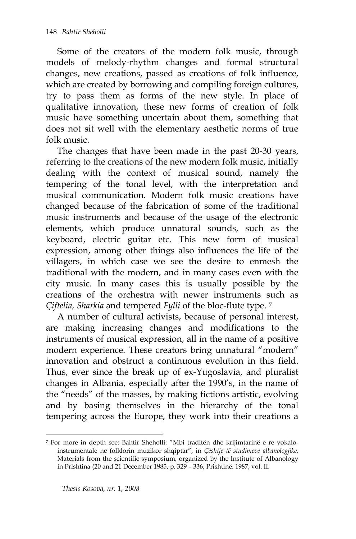Some of the creators of the modern folk music, through models of melody-rhythm changes and formal structural changes, new creations, passed as creations of folk influence, which are created by borrowing and compiling foreign cultures, try to pass them as forms of the new style. In place of qualitative innovation, these new forms of creation of folk music have something uncertain about them, something that does not sit well with the elementary aesthetic norms of true folk music.

The changes that have been made in the past 20-30 years, referring to the creations of the new modern folk music, initially dealing with the context of musical sound, namely the tempering of the tonal level, with the interpretation and musical communication. Modern folk music creations have changed because of the fabrication of some of the traditional music instruments and because of the usage of the electronic elements, which produce unnatural sounds, such as the keyboard, electric guitar etc. This new form of musical expression, among other things also influences the life of the villagers, in which case we see the desire to enmesh the traditional with the modern, and in many cases even with the city music. In many cases this is usually possible by the creations of the orchestra with newer instruments such as *Çiftelia, Sharkia* and tempered *Fylli* of the bloc-flute type. [7](#page-5-0)

A number of cultural activists, because of personal interest, are making increasing changes and modifications to the instruments of musical expression, all in the name of a positive modern experience. These creators bring unnatural "modern" innovation and obstruct a continuous evolution in this field. Thus, ever since the break up of ex-Yugoslavia, and pluralist changes in Albania, especially after the 1990's, in the name of the "needs" of the masses, by making fictions artistic, evolving and by basing themselves in the hierarchy of the tonal tempering across the Europe, they work into their creations a

1

<span id="page-5-0"></span><sup>7</sup> For more in depth see: Bahtir Sheholli: "Mbi traditën dhe krijimtarinë e re vokaloinstrumentale në folklorin muzikor shqiptar", in *Çështje të studimeve albanologjike.*  Materials from the scientific symposium*,* organized by the Institute of Albanology in Prishtina (20 and 21 December 1985, p. 329 – 336, Prishtinë: 1987, vol. II.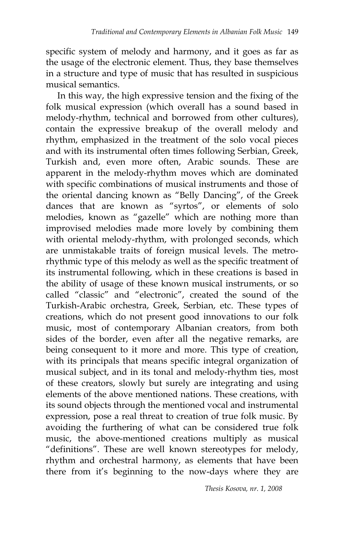specific system of melody and harmony, and it goes as far as the usage of the electronic element. Thus, they base themselves in a structure and type of music that has resulted in suspicious musical semantics.

In this way, the high expressive tension and the fixing of the folk musical expression (which overall has a sound based in melody-rhythm, technical and borrowed from other cultures), contain the expressive breakup of the overall melody and rhythm, emphasized in the treatment of the solo vocal pieces and with its instrumental often times following Serbian, Greek, Turkish and, even more often, Arabic sounds. These are apparent in the melody-rhythm moves which are dominated with specific combinations of musical instruments and those of the oriental dancing known as "Belly Dancing", of the Greek dances that are known as "syrtos", or elements of solo melodies, known as "gazelle" which are nothing more than improvised melodies made more lovely by combining them with oriental melody-rhythm, with prolonged seconds, which are unmistakable traits of foreign musical levels. The metrorhythmic type of this melody as well as the specific treatment of its instrumental following, which in these creations is based in the ability of usage of these known musical instruments, or so called "classic" and "electronic", created the sound of the Turkish-Arabic orchestra, Greek, Serbian, etc. These types of creations, which do not present good innovations to our folk music, most of contemporary Albanian creators, from both sides of the border, even after all the negative remarks, are being consequent to it more and more. This type of creation, with its principals that means specific integral organization of musical subject, and in its tonal and melody-rhythm ties, most of these creators, slowly but surely are integrating and using elements of the above mentioned nations. These creations, with its sound objects through the mentioned vocal and instrumental expression, pose a real threat to creation of true folk music. By avoiding the furthering of what can be considered true folk music, the above-mentioned creations multiply as musical "definitions". These are well known stereotypes for melody, rhythm and orchestral harmony, as elements that have been there from it's beginning to the now-days where they are

*Thesis Kosova, nr. 1, 2008*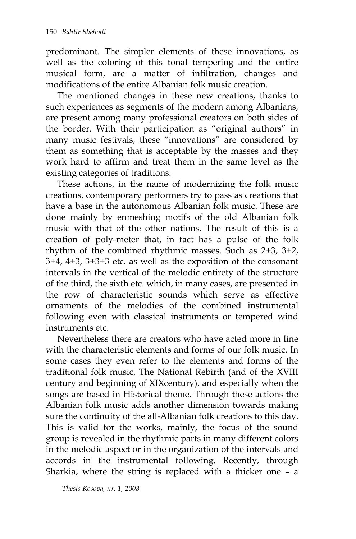predominant. The simpler elements of these innovations, as well as the coloring of this tonal tempering and the entire musical form, are a matter of infiltration, changes and modifications of the entire Albanian folk music creation.

The mentioned changes in these new creations, thanks to such experiences as segments of the modern among Albanians, are present among many professional creators on both sides of the border. With their participation as "original authors" in many music festivals, these "innovations" are considered by them as something that is acceptable by the masses and they work hard to affirm and treat them in the same level as the existing categories of traditions.

These actions, in the name of modernizing the folk music creations, contemporary performers try to pass as creations that have a base in the autonomous Albanian folk music. These are done mainly by enmeshing motifs of the old Albanian folk music with that of the other nations. The result of this is a creation of poly-meter that, in fact has a pulse of the folk rhythm of the combined rhythmic masses. Such as 2+3, 3+2, 3+4, 4+3, 3+3+3 etc. as well as the exposition of the consonant intervals in the vertical of the melodic entirety of the structure of the third, the sixth etc. which, in many cases, are presented in the row of characteristic sounds which serve as effective ornaments of the melodies of the combined instrumental following even with classical instruments or tempered wind instruments etc.

Nevertheless there are creators who have acted more in line with the characteristic elements and forms of our folk music. In some cases they even refer to the elements and forms of the traditional folk music, The National Rebirth (and of the XVIII century and beginning of XIXcentury), and especially when the songs are based in Historical theme. Through these actions the Albanian folk music adds another dimension towards making sure the continuity of the all-Albanian folk creations to this day. This is valid for the works, mainly, the focus of the sound group is revealed in the rhythmic parts in many different colors in the melodic aspect or in the organization of the intervals and accords in the instrumental following. Recently, through Sharkia, where the string is replaced with a thicker one – a

*Thesis Kosova, nr. 1, 2008*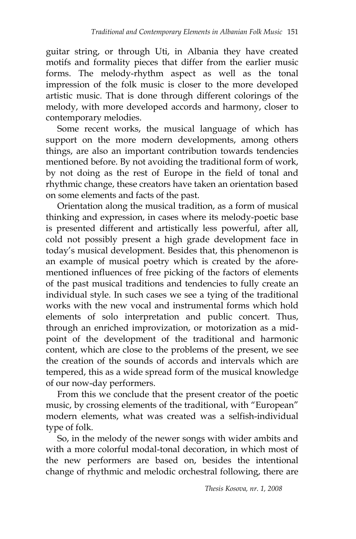guitar string, or through Uti, in Albania they have created motifs and formality pieces that differ from the earlier music forms. The melody-rhythm aspect as well as the tonal impression of the folk music is closer to the more developed artistic music. That is done through different colorings of the melody, with more developed accords and harmony, closer to contemporary melodies.

Some recent works, the musical language of which has support on the more modern developments, among others things, are also an important contribution towards tendencies mentioned before. By not avoiding the traditional form of work, by not doing as the rest of Europe in the field of tonal and rhythmic change, these creators have taken an orientation based on some elements and facts of the past.

Orientation along the musical tradition, as a form of musical thinking and expression, in cases where its melody-poetic base is presented different and artistically less powerful, after all, cold not possibly present a high grade development face in today's musical development. Besides that, this phenomenon is an example of musical poetry which is created by the aforementioned influences of free picking of the factors of elements of the past musical traditions and tendencies to fully create an individual style. In such cases we see a tying of the traditional works with the new vocal and instrumental forms which hold elements of solo interpretation and public concert. Thus, through an enriched improvization, or motorization as a midpoint of the development of the traditional and harmonic content, which are close to the problems of the present, we see the creation of the sounds of accords and intervals which are tempered, this as a wide spread form of the musical knowledge of our now-day performers.

From this we conclude that the present creator of the poetic music, by crossing elements of the traditional, with "European" modern elements, what was created was a selfish-individual type of folk.

So, in the melody of the newer songs with wider ambits and with a more colorful modal-tonal decoration, in which most of the new performers are based on, besides the intentional change of rhythmic and melodic orchestral following, there are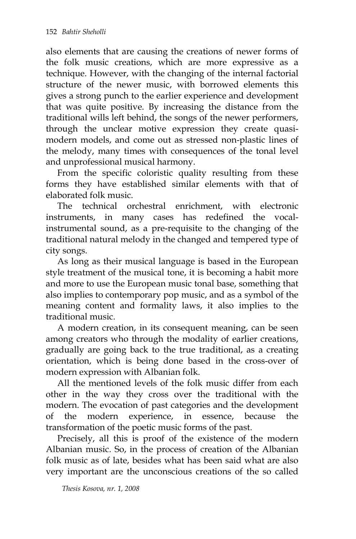also elements that are causing the creations of newer forms of the folk music creations, which are more expressive as a technique. However, with the changing of the internal factorial structure of the newer music, with borrowed elements this gives a strong punch to the earlier experience and development that was quite positive. By increasing the distance from the traditional wills left behind, the songs of the newer performers, through the unclear motive expression they create quasimodern models, and come out as stressed non-plastic lines of the melody, many times with consequences of the tonal level and unprofessional musical harmony.

From the specific coloristic quality resulting from these forms they have established similar elements with that of elaborated folk music.

The technical orchestral enrichment, with electronic instruments, in many cases has redefined the vocalinstrumental sound, as a pre-requisite to the changing of the traditional natural melody in the changed and tempered type of city songs.

As long as their musical language is based in the European style treatment of the musical tone, it is becoming a habit more and more to use the European music tonal base, something that also implies to contemporary pop music, and as a symbol of the meaning content and formality laws, it also implies to the traditional music.

A modern creation, in its consequent meaning, can be seen among creators who through the modality of earlier creations, gradually are going back to the true traditional, as a creating orientation, which is being done based in the cross-over of modern expression with Albanian folk.

All the mentioned levels of the folk music differ from each other in the way they cross over the traditional with the modern. The evocation of past categories and the development of the modern experience, in essence, because the transformation of the poetic music forms of the past.

Precisely, all this is proof of the existence of the modern Albanian music. So, in the process of creation of the Albanian folk music as of late, besides what has been said what are also very important are the unconscious creations of the so called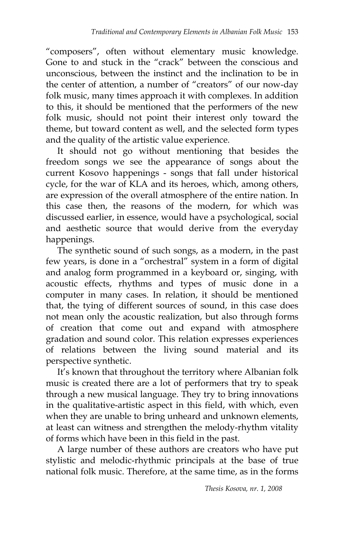"composers", often without elementary music knowledge. Gone to and stuck in the "crack" between the conscious and unconscious, between the instinct and the inclination to be in the center of attention, a number of "creators" of our now-day folk music, many times approach it with complexes. In addition to this, it should be mentioned that the performers of the new folk music, should not point their interest only toward the theme, but toward content as well, and the selected form types and the quality of the artistic value experience.

It should not go without mentioning that besides the freedom songs we see the appearance of songs about the current Kosovo happenings - songs that fall under historical cycle, for the war of KLA and its heroes, which, among others, are expression of the overall atmosphere of the entire nation. In this case then, the reasons of the modern, for which was discussed earlier, in essence, would have a psychological, social and aesthetic source that would derive from the everyday happenings.

The synthetic sound of such songs, as a modern, in the past few years, is done in a "orchestral" system in a form of digital and analog form programmed in a keyboard or, singing, with acoustic effects, rhythms and types of music done in a computer in many cases. In relation, it should be mentioned that, the tying of different sources of sound, in this case does not mean only the acoustic realization, but also through forms of creation that come out and expand with atmosphere gradation and sound color. This relation expresses experiences of relations between the living sound material and its perspective synthetic.

It's known that throughout the territory where Albanian folk music is created there are a lot of performers that try to speak through a new musical language. They try to bring innovations in the qualitative-artistic aspect in this field, with which, even when they are unable to bring unheard and unknown elements, at least can witness and strengthen the melody-rhythm vitality of forms which have been in this field in the past.

A large number of these authors are creators who have put stylistic and melodic-rhythmic principals at the base of true national folk music. Therefore, at the same time, as in the forms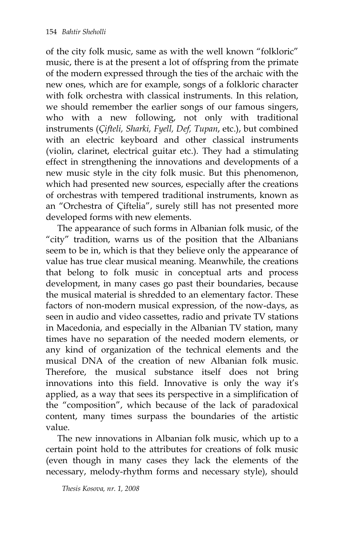of the city folk music, same as with the well known "folkloric" music, there is at the present a lot of offspring from the primate of the modern expressed through the ties of the archaic with the new ones, which are for example, songs of a folkloric character with folk orchestra with classical instruments. In this relation, we should remember the earlier songs of our famous singers, who with a new following, not only with traditional instruments (*Çifteli, Sharki, Fyell, Def, Tupan*, etc.), but combined with an electric keyboard and other classical instruments (violin, clarinet, electrical guitar etc.). They had a stimulating effect in strengthening the innovations and developments of a new music style in the city folk music. But this phenomenon, which had presented new sources, especially after the creations of orchestras with tempered traditional instruments, known as an "Orchestra of Çiftelia", surely still has not presented more developed forms with new elements.

The appearance of such forms in Albanian folk music, of the "city" tradition, warns us of the position that the Albanians seem to be in, which is that they believe only the appearance of value has true clear musical meaning. Meanwhile, the creations that belong to folk music in conceptual arts and process development, in many cases go past their boundaries, because the musical material is shredded to an elementary factor. These factors of non-modern musical expression, of the now-days, as seen in audio and video cassettes, radio and private TV stations in Macedonia, and especially in the Albanian TV station, many times have no separation of the needed modern elements, or any kind of organization of the technical elements and the musical DNA of the creation of new Albanian folk music. Therefore, the musical substance itself does not bring innovations into this field. Innovative is only the way it's applied, as a way that sees its perspective in a simplification of the "composition", which because of the lack of paradoxical content, many times surpass the boundaries of the artistic value.

The new innovations in Albanian folk music, which up to a certain point hold to the attributes for creations of folk music (even though in many cases they lack the elements of the necessary, melody-rhythm forms and necessary style), should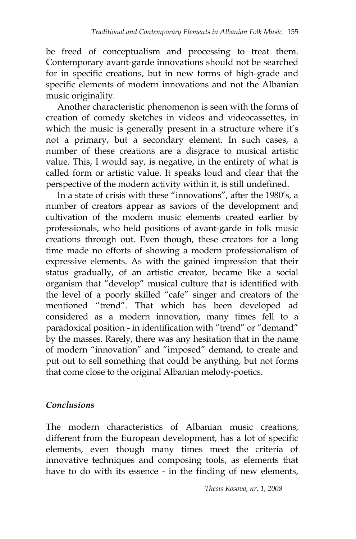be freed of conceptualism and processing to treat them. Contemporary avant-garde innovations should not be searched for in specific creations, but in new forms of high-grade and specific elements of modern innovations and not the Albanian music originality.

Another characteristic phenomenon is seen with the forms of creation of comedy sketches in videos and videocassettes, in which the music is generally present in a structure where it's not a primary, but a secondary element. In such cases, a number of these creations are a disgrace to musical artistic value. This, I would say, is negative, in the entirety of what is called form or artistic value. It speaks loud and clear that the perspective of the modern activity within it, is still undefined.

In a state of crisis with these "innovations", after the 1980's, a number of creators appear as saviors of the development and cultivation of the modern music elements created earlier by professionals, who held positions of avant-garde in folk music creations through out. Even though, these creators for a long time made no efforts of showing a modern professionalism of expressive elements. As with the gained impression that their status gradually, of an artistic creator, became like a social organism that "develop" musical culture that is identified with the level of a poorly skilled "cafe" singer and creators of the mentioned "trend". That which has been developed ad considered as a modern innovation, many times fell to a paradoxical position - in identification with "trend" or "demand" by the masses. Rarely, there was any hesitation that in the name of modern "innovation" and "imposed" demand, to create and put out to sell something that could be anything, but not forms that come close to the original Albanian melody-poetics.

# *Conclusions*

The modern characteristics of Albanian music creations, different from the European development, has a lot of specific elements, even though many times meet the criteria of innovative techniques and composing tools, as elements that have to do with its essence - in the finding of new elements,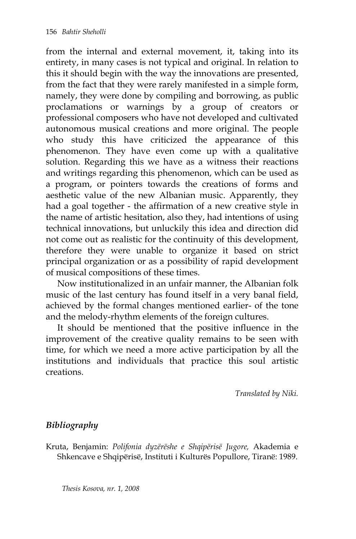from the internal and external movement, it, taking into its entirety, in many cases is not typical and original. In relation to this it should begin with the way the innovations are presented, from the fact that they were rarely manifested in a simple form, namely, they were done by compiling and borrowing, as public proclamations or warnings by a group of creators or professional composers who have not developed and cultivated autonomous musical creations and more original. The people who study this have criticized the appearance of this phenomenon. They have even come up with a qualitative solution. Regarding this we have as a witness their reactions and writings regarding this phenomenon, which can be used as a program, or pointers towards the creations of forms and aesthetic value of the new Albanian music. Apparently, they had a goal together - the affirmation of a new creative style in the name of artistic hesitation, also they, had intentions of using technical innovations, but unluckily this idea and direction did not come out as realistic for the continuity of this development, therefore they were unable to organize it based on strict principal organization or as a possibility of rapid development of musical compositions of these times.

Now institutionalized in an unfair manner, the Albanian folk music of the last century has found itself in a very banal field, achieved by the formal changes mentioned earlier- of the tone and the melody-rhythm elements of the foreign cultures.

It should be mentioned that the positive influence in the improvement of the creative quality remains to be seen with time, for which we need a more active participation by all the institutions and individuals that practice this soul artistic creations.

*Translated by Niki.*

### *Bibliography*

Kruta, Benjamin: *Polifonia dyzërëshe e Shqipërisë Jugore,* Akademia e Shkencave e Shqipërisë, Instituti i Kulturës Popullore, Tiranë: 1989.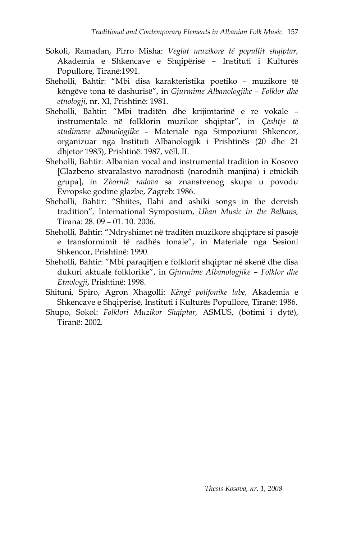- Sokoli, Ramadan, Pirro Misha: *Veglat muzikore të popullit shqiptar,*  Akademia e Shkencave e Shqipërisë – Instituti i Kulturës Popullore, Tiranë:1991.
- Sheholli, Bahtir: "Mbi disa karakteristika poetiko muzikore të këngëve tona të dashurisë", in *Gjurmime Albanologjike* – *Folklor dhe etnologji*, nr. XI, Prishtinë: 1981.
- Sheholli, Bahtir: "Mbi traditën dhe krijimtarinë e re vokale instrumentale në folklorin muzikor shqiptar", in *Çështje të studimeve albanologjike* – Materiale nga Simpoziumi Shkencor, organizuar nga Instituti Albanologjik i Prishtinës (20 dhe 21 dhjetor 1985), Prishtinë: 1987, vëll. II.
- Sheholli, Bahtir: Albanian vocal and instrumental tradition in Kosovo [Glazbeno stvaralastvo narodnosti (narodnih manjina) i etnickih grupa], in *Zbornik radova* sa znanstvenog skupa u povodu Evropske godine glazbe, Zagreb: 1986.
- Sheholli, Bahtir: "Shiites, Ilahi and ashiki songs in the dervish tradition"*,* International Symposium, *Uban Music in the Balkans,* Tirana: 28. 09 – 01. 10. 2006.
- Sheholli, Bahtir: "Ndryshimet në traditën muzikore shqiptare si pasojë e transformimit të radhës tonale", in Materiale nga Sesioni Shkencor, Prishtinë: 1990.
- Sheholli, Bahtir: "Mbi paraqitjen e folklorit shqiptar në skenë dhe disa dukuri aktuale folklorike", in *Gjurmime Albanologjike* – *Folklor dhe Etnologji*, Prishtinë: 1998.
- Shituni, Spiro, Agron Xhagolli: *Këngë polifonike labe,* Akademia e Shkencave e Shqipërisë, Instituti i Kulturës Popullore, Tiranë: 1986.
- Shupo, Sokol: *Folklori Muzikor Shqiptar,* ASMUS, (botimi i dytë), Tiranë: 2002.